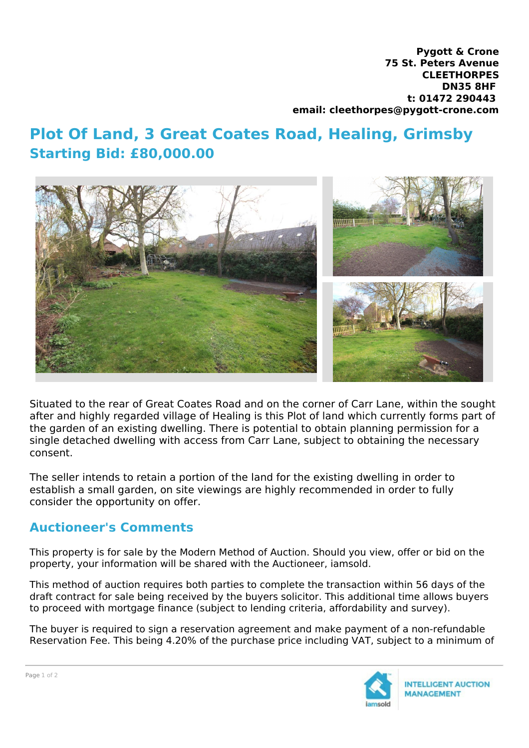**Pygott & Crone 75 St. Peters Avenue CLEETHORPES DN35 8HF t: 01472 290443 email: cleethorpes@pygott-crone.com**

## **Plot Of Land, 3 Great Coates Road, Healing, Grimsby Starting Bid: £80,000.00**



Situated to the rear of Great Coates Road and on the corner of Carr Lane, within the sought after and highly regarded village of Healing is this Plot of land which currently forms part of the garden of an existing dwelling. There is potential to obtain planning permission for a single detached dwelling with access from Carr Lane, subject to obtaining the necessary consent.

The seller intends to retain a portion of the land for the existing dwelling in order to establish a small garden, on site viewings are highly recommended in order to fully consider the opportunity on offer.

## **Auctioneer's Comments**

This property is for sale by the Modern Method of Auction. Should you view, offer or bid on the property, your information will be shared with the Auctioneer, iamsold.

This method of auction requires both parties to complete the transaction within 56 days of the draft contract for sale being received by the buyers solicitor. This additional time allows buyers to proceed with mortgage finance (subject to lending criteria, affordability and survey).

The buyer is required to sign a reservation agreement and make payment of a non-refundable Reservation Fee. This being 4.20% of the purchase price including VAT, subject to a minimum of